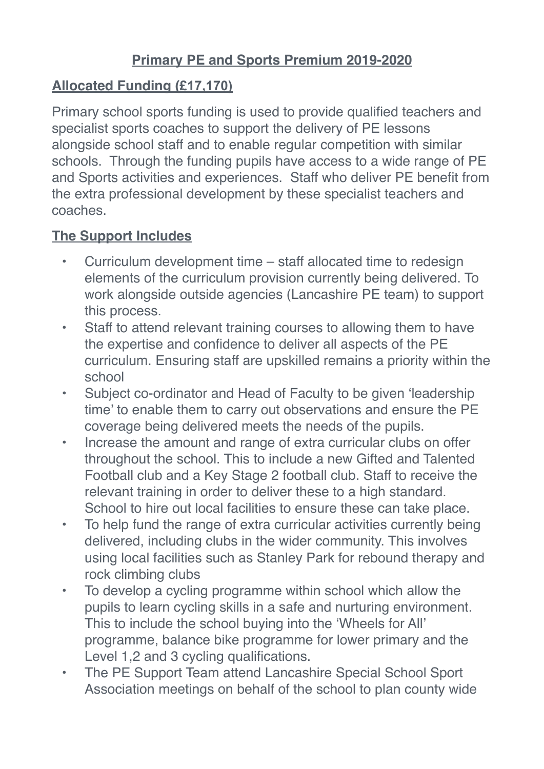## **Primary PE and Sports Premium 2019-2020**

## **Allocated Funding (£17,170)**

Primary school sports funding is used to provide qualified teachers and specialist sports coaches to support the delivery of PE lessons alongside school staff and to enable regular competition with similar schools. Through the funding pupils have access to a wide range of PE and Sports activities and experiences. Staff who deliver PE benefit from the extra professional development by these specialist teachers and coaches.

## **The Support Includes**

- Curriculum development time staff allocated time to redesign elements of the curriculum provision currently being delivered. To work alongside outside agencies (Lancashire PE team) to support this process.
- Staff to attend relevant training courses to allowing them to have the expertise and confidence to deliver all aspects of the PE curriculum. Ensuring staff are upskilled remains a priority within the school
- Subject co-ordinator and Head of Faculty to be given 'leadership time' to enable them to carry out observations and ensure the PE coverage being delivered meets the needs of the pupils.
- Increase the amount and range of extra curricular clubs on offer throughout the school. This to include a new Gifted and Talented Football club and a Key Stage 2 football club. Staff to receive the relevant training in order to deliver these to a high standard. School to hire out local facilities to ensure these can take place.
- To help fund the range of extra curricular activities currently being delivered, including clubs in the wider community. This involves using local facilities such as Stanley Park for rebound therapy and rock climbing clubs
- To develop a cycling programme within school which allow the pupils to learn cycling skills in a safe and nurturing environment. This to include the school buying into the 'Wheels for All' programme, balance bike programme for lower primary and the Level 1,2 and 3 cycling qualifications.
- The PE Support Team attend Lancashire Special School Sport Association meetings on behalf of the school to plan county wide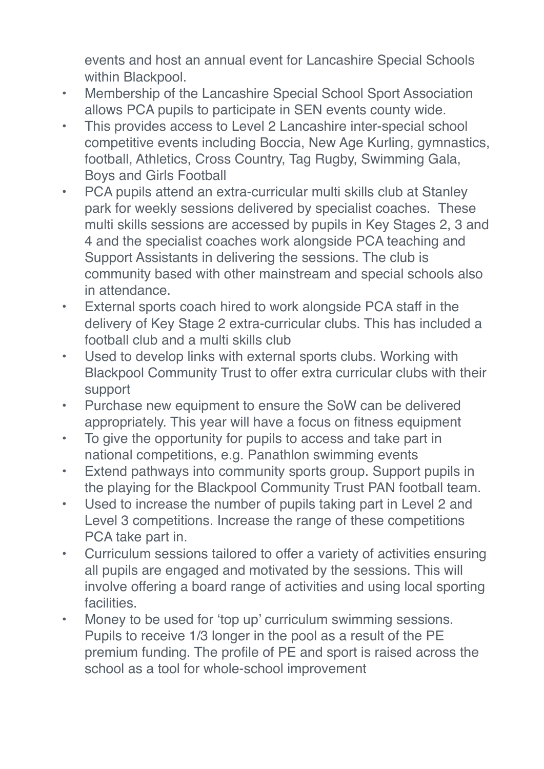events and host an annual event for Lancashire Special Schools within Blackpool.

- Membership of the Lancashire Special School Sport Association allows PCA pupils to participate in SEN events county wide.
- This provides access to Level 2 Lancashire inter-special school competitive events including Boccia, New Age Kurling, gymnastics, football, Athletics, Cross Country, Tag Rugby, Swimming Gala, Boys and Girls Football
- PCA pupils attend an extra-curricular multi skills club at Stanley park for weekly sessions delivered by specialist coaches. These multi skills sessions are accessed by pupils in Key Stages 2, 3 and 4 and the specialist coaches work alongside PCA teaching and Support Assistants in delivering the sessions. The club is community based with other mainstream and special schools also in attendance.
- External sports coach hired to work alongside PCA staff in the delivery of Key Stage 2 extra-curricular clubs. This has included a football club and a multi skills club
- Used to develop links with external sports clubs. Working with Blackpool Community Trust to offer extra curricular clubs with their support
- Purchase new equipment to ensure the SoW can be delivered appropriately. This year will have a focus on fitness equipment
- To give the opportunity for pupils to access and take part in national competitions, e.g. Panathlon swimming events
- Extend pathways into community sports group. Support pupils in the playing for the Blackpool Community Trust PAN football team.
- Used to increase the number of pupils taking part in Level 2 and Level 3 competitions. Increase the range of these competitions PCA take part in.
- Curriculum sessions tailored to offer a variety of activities ensuring all pupils are engaged and motivated by the sessions. This will involve offering a board range of activities and using local sporting facilities.
- Money to be used for 'top up' curriculum swimming sessions. Pupils to receive 1/3 longer in the pool as a result of the PE premium funding. The profile of PE and sport is raised across the school as a tool for whole-school improvement